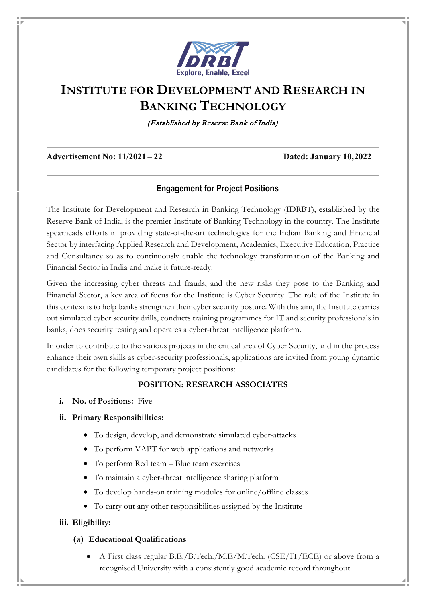

# **INSTITUTE FOR DEVELOPMENT AND RESEARCH IN BANKING TECHNOLOGY**

(Established by Reserve Bank of India)

**Advertisement No: 11/2021 – 22 Dated: January 10,2022**

# **Engagement for Project Positions**

The Institute for Development and Research in Banking Technology (IDRBT), established by the Reserve Bank of India, is the premier Institute of Banking Technology in the country. The Institute spearheads efforts in providing state-of-the-art technologies for the Indian Banking and Financial Sector by interfacing Applied Research and Development, Academics, Executive Education, Practice and Consultancy so as to continuously enable the technology transformation of the Banking and Financial Sector in India and make it future-ready.

Given the increasing cyber threats and frauds, and the new risks they pose to the Banking and Financial Sector, a key area of focus for the Institute is Cyber Security. The role of the Institute in this context is to help banks strengthen their cyber security posture. With this aim, the Institute carries out simulated cyber security drills, conducts training programmes for IT and security professionals in banks, does security testing and operates a cyber-threat intelligence platform.

In order to contribute to the various projects in the critical area of Cyber Security, and in the process enhance their own skills as cyber-security professionals, applications are invited from young dynamic candidates for the following temporary project positions:

## **POSITION: RESEARCH ASSOCIATES**

**i. No. of Positions:** Five

#### **ii. Primary Responsibilities:**

- To design, develop, and demonstrate simulated cyber-attacks
- To perform VAPT for web applications and networks
- To perform Red team Blue team exercises
- To maintain a cyber-threat intelligence sharing platform
- To develop hands-on training modules for online/offline classes
- To carry out any other responsibilities assigned by the Institute

#### **iii. Eligibility:**

#### **(a) Educational Qualifications**

• A First class regular B.E./B.Tech./M.E/M.Tech. (CSE/IT/ECE) or above from a recognised University with a consistently good academic record throughout.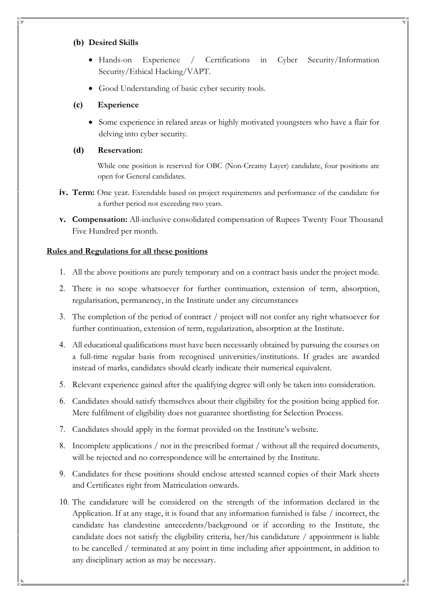#### **(b) Desired Skills**

- Hands-on Experience / Certifications in Cyber Security/Information Security/Ethical Hacking/VAPT.
- Good Understanding of basic cyber security tools.

# **(c) Experience**

• Some experience in related areas or highly motivated youngsters who have a flair for delving into cyber security.

## **(d) Reservation:**

While one position is reserved for OBC (Non-Creamy Layer) candidate, four positions are open for General candidates.

- **iv. Term:** One year. Extendable based on project requirements and performance of the candidate for a further period not exceeding two years.
- **v. Compensation:** All-inclusive consolidated compensation of Rupees Twenty Four Thousand Five Hundred per month.

## **Rules and Regulations for all these positions**

- 1. All the above positions are purely temporary and on a contract basis under the project mode.
- 2. There is no scope whatsoever for further continuation, extension of term, absorption, regularisation, permanency, in the Institute under any circumstances
- 3. The completion of the period of contract / project will not confer any right whatsoever for further continuation, extension of term, regularization, absorption at the Institute.
- 4. All educational qualifications must have been necessarily obtained by pursuing the courses on a full-time regular basis from recognised universities/institutions. If grades are awarded instead of marks, candidates should clearly indicate their numerical equivalent.
- 5. Relevant experience gained after the qualifying degree will only be taken into consideration.
- 6. Candidates should satisfy themselves about their eligibility for the position being applied for. Mere fulfilment of eligibility does not guarantee shortlisting for Selection Process.
- 7. Candidates should apply in the format provided on the Institute's website.
- 8. Incomplete applications / not in the prescribed format / without all the required documents, will be rejected and no correspondence will be entertained by the Institute.
- 9. Candidates for these positions should enclose attested scanned copies of their Mark sheets and Certificates right from Matriculation onwards.
- 10. The candidature will be considered on the strength of the information declared in the Application. If at any stage, it is found that any information furnished is false / incorrect, the candidate has clandestine antecedents/background or if according to the Institute, the candidate does not satisfy the eligibility criteria, her/his candidature / appointment is liable to be cancelled / terminated at any point in time including after appointment, in addition to any disciplinary action as may be necessary.